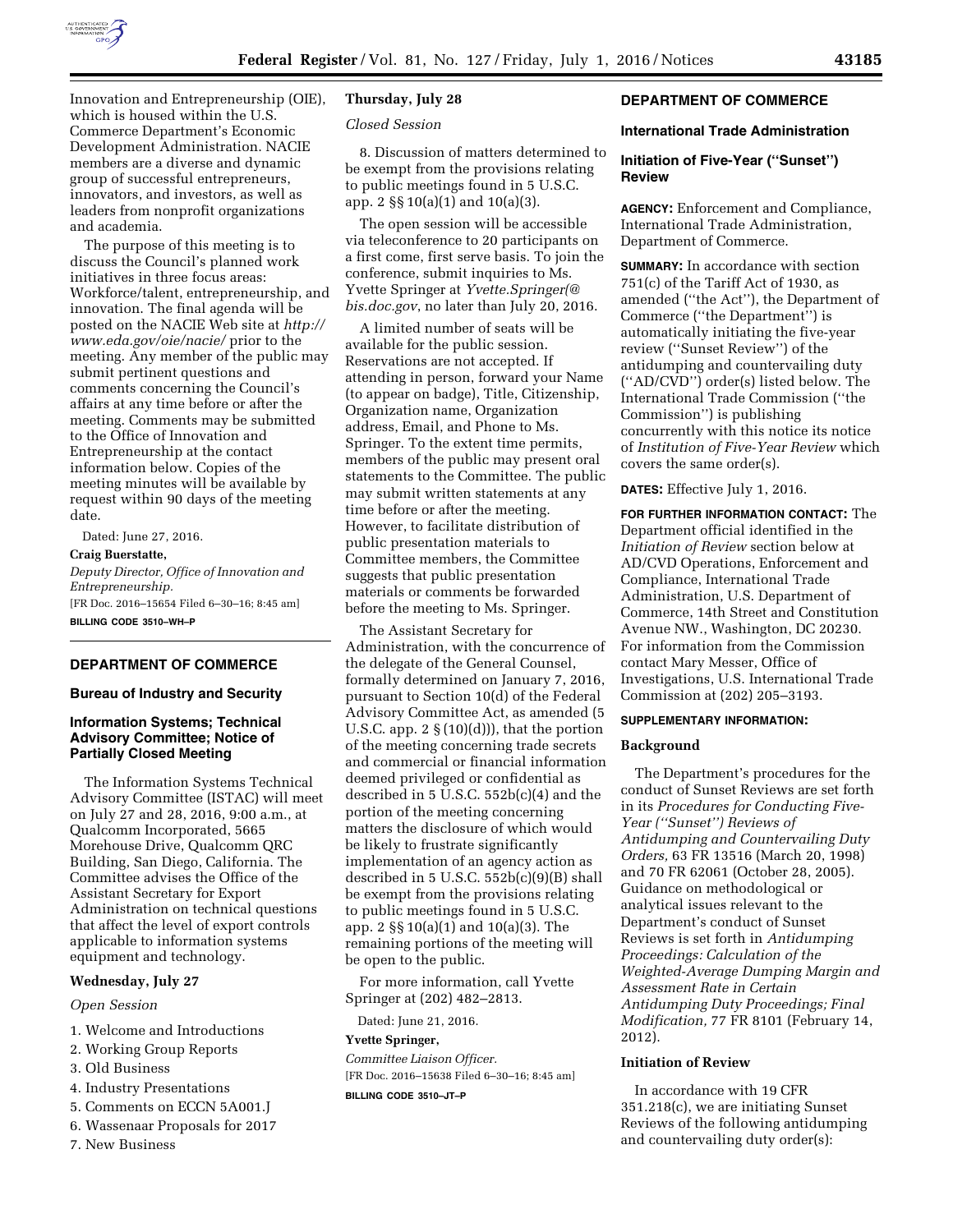

Innovation and Entrepreneurship (OIE), which is housed within the U.S. Commerce Department's Economic Development Administration. NACIE members are a diverse and dynamic group of successful entrepreneurs, innovators, and investors, as well as leaders from nonprofit organizations and academia.

The purpose of this meeting is to discuss the Council's planned work initiatives in three focus areas: Workforce/talent, entrepreneurship, and innovation. The final agenda will be posted on the NACIE Web site at *[http://](http://www.eda.gov/oie/nacie/)  [www.eda.gov/oie/nacie/](http://www.eda.gov/oie/nacie/)* prior to the meeting. Any member of the public may submit pertinent questions and comments concerning the Council's affairs at any time before or after the meeting. Comments may be submitted to the Office of Innovation and Entrepreneurship at the contact information below. Copies of the meeting minutes will be available by request within 90 days of the meeting date.

Dated: June 27, 2016.

### **Craig Buerstatte,**

*Deputy Director, Office of Innovation and Entrepreneurship.* 

[FR Doc. 2016–15654 Filed 6–30–16; 8:45 am] **BILLING CODE 3510–WH–P** 

# **DEPARTMENT OF COMMERCE**

# **Bureau of Industry and Security**

# **Information Systems; Technical Advisory Committee; Notice of Partially Closed Meeting**

The Information Systems Technical Advisory Committee (ISTAC) will meet on July 27 and 28, 2016, 9:00 a.m., at Qualcomm Incorporated, 5665 Morehouse Drive, Qualcomm QRC Building, San Diego, California. The Committee advises the Office of the Assistant Secretary for Export Administration on technical questions that affect the level of export controls applicable to information systems equipment and technology.

# **Wednesday, July 27**

#### *Open Session*

- 1. Welcome and Introductions
- 2. Working Group Reports
- 3. Old Business
- 4. Industry Presentations
- 5. Comments on ECCN 5A001.J
- 6. Wassenaar Proposals for 2017
- 7. New Business

### **Thursday, July 28**

#### *Closed Session*

8. Discussion of matters determined to be exempt from the provisions relating to public meetings found in 5 U.S.C. app. 2 §§ 10(a)(1) and 10(a)(3).

The open session will be accessible via teleconference to 20 participants on a first come, first serve basis. To join the conference, submit inquiries to Ms. Yvette Springer at *[Yvette.Springer\(@](mailto:Yvette.Springer@bis.doc.gov) [bis.doc.gov](mailto:Yvette.Springer@bis.doc.gov)*, no later than July 20, 2016.

A limited number of seats will be available for the public session. Reservations are not accepted. If attending in person, forward your Name (to appear on badge), Title, Citizenship, Organization name, Organization address, Email, and Phone to Ms. Springer. To the extent time permits, members of the public may present oral statements to the Committee. The public may submit written statements at any time before or after the meeting. However, to facilitate distribution of public presentation materials to Committee members, the Committee suggests that public presentation materials or comments be forwarded before the meeting to Ms. Springer.

The Assistant Secretary for Administration, with the concurrence of the delegate of the General Counsel, formally determined on January 7, 2016, pursuant to Section 10(d) of the Federal Advisory Committee Act, as amended (5 U.S.C. app.  $2 \S(10)(d))$ , that the portion of the meeting concerning trade secrets and commercial or financial information deemed privileged or confidential as described in 5 U.S.C. 552b(c)(4) and the portion of the meeting concerning matters the disclosure of which would be likely to frustrate significantly implementation of an agency action as described in 5 U.S.C. 552b(c)(9)(B) shall be exempt from the provisions relating to public meetings found in 5 U.S.C. app. 2 §§ 10(a)(1) and 10(a)(3). The remaining portions of the meeting will be open to the public.

For more information, call Yvette Springer at (202) 482–2813.

Dated: June 21, 2016.

#### **Yvette Springer,**

*Committee Liaison Officer.*  [FR Doc. 2016–15638 Filed 6–30–16; 8:45 am] **BILLING CODE 3510–JT–P** 

## **DEPARTMENT OF COMMERCE**

#### **International Trade Administration**

# **Initiation of Five-Year (''Sunset'') Review**

**AGENCY:** Enforcement and Compliance, International Trade Administration, Department of Commerce.

**SUMMARY:** In accordance with section  $751(c)$  of the Tariff Act of 1930, as amended (''the Act''), the Department of Commerce (''the Department'') is automatically initiating the five-year review (''Sunset Review'') of the antidumping and countervailing duty (''AD/CVD'') order(s) listed below. The International Trade Commission (''the Commission'') is publishing concurrently with this notice its notice of *Institution of Five-Year Review* which covers the same order(s).

**DATES:** Effective July 1, 2016.

**FOR FURTHER INFORMATION CONTACT:** The Department official identified in the *Initiation of Review* section below at AD/CVD Operations, Enforcement and Compliance, International Trade Administration, U.S. Department of Commerce, 14th Street and Constitution Avenue NW., Washington, DC 20230. For information from the Commission contact Mary Messer, Office of Investigations, U.S. International Trade Commission at (202) 205–3193.

# **SUPPLEMENTARY INFORMATION:**

#### **Background**

The Department's procedures for the conduct of Sunset Reviews are set forth in its *Procedures for Conducting Five-Year (''Sunset'') Reviews of Antidumping and Countervailing Duty Orders,* 63 FR 13516 (March 20, 1998) and 70 FR 62061 (October 28, 2005). Guidance on methodological or analytical issues relevant to the Department's conduct of Sunset Reviews is set forth in *Antidumping Proceedings: Calculation of the Weighted-Average Dumping Margin and Assessment Rate in Certain Antidumping Duty Proceedings; Final Modification,* 77 FR 8101 (February 14, 2012).

# **Initiation of Review**

In accordance with 19 CFR 351.218(c), we are initiating Sunset Reviews of the following antidumping and countervailing duty order(s):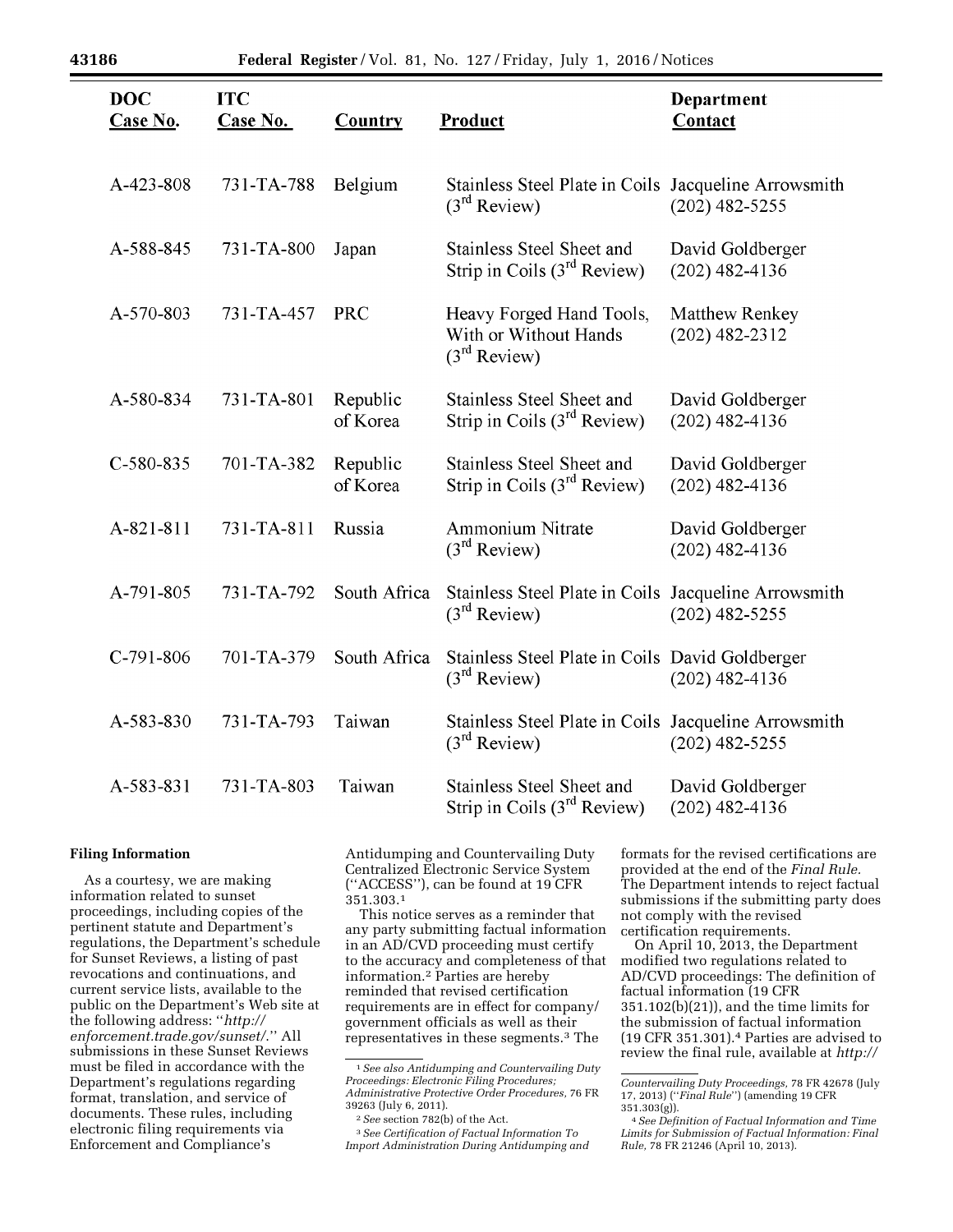| <b>DOC</b><br><b>Case No.</b> | <b>ITC</b><br><b>Case No.</b> | <b>Country</b>       | <b>Product</b>                                                                   | Department<br>Contact                     |
|-------------------------------|-------------------------------|----------------------|----------------------------------------------------------------------------------|-------------------------------------------|
| A-423-808                     | 731-TA-788                    | Belgium              | Stainless Steel Plate in Coils<br>$(3rd$ Review)                                 | Jacqueline Arrowsmith<br>$(202)$ 482-5255 |
| A-588-845                     | 731-TA-800                    | Japan                | Stainless Steel Sheet and<br>Strip in Coils (3 <sup>rd</sup> Review)             | David Goldberger<br>$(202)$ 482-4136      |
| A-570-803                     | 731-TA-457                    | <b>PRC</b>           | Heavy Forged Hand Tools,<br>With or Without Hands<br>$(3rd$ Review)              | <b>Matthew Renkey</b><br>$(202)$ 482-2312 |
| A-580-834                     | 731-TA-801                    | Republic<br>of Korea | <b>Stainless Steel Sheet and</b><br>Strip in Coils $(3rd$ Review)                | David Goldberger<br>$(202)$ 482-4136      |
| $C-580-835$                   | 701-TA-382                    | Republic<br>of Korea | <b>Stainless Steel Sheet and</b><br>Strip in Coils $(3rd$ Review)                | David Goldberger<br>$(202)$ 482-4136      |
| A-821-811                     | 731-TA-811                    | Russia               | <b>Ammonium Nitrate</b><br>$(3rd$ Review)                                        | David Goldberger<br>$(202)$ 482-4136      |
| A-791-805                     | 731-TA-792                    | South Africa         | Stainless Steel Plate in Coils Jacqueline Arrowsmith<br>(3 <sup>rd</sup> Review) | $(202)$ 482-5255                          |
| $C-791-806$                   | 701-TA-379                    | South Africa         | Stainless Steel Plate in Coils David Goldberger<br>$(3rd$ Review)                | $(202)$ 482-4136                          |
| A-583-830                     | 731-TA-793                    | Taiwan               | Stainless Steel Plate in Coils Jacqueline Arrowsmith<br>(3 <sup>rd</sup> Review) | $(202)$ 482-5255                          |
| A-583-831                     | 731-TA-803                    | Taiwan               | <b>Stainless Steel Sheet and</b><br>Strip in Coils (3 <sup>rd</sup> Review)      | David Goldberger<br>$(202)$ 482-4136      |

# **Filing Information**

As a courtesy, we are making information related to sunset proceedings, including copies of the pertinent statute and Department's regulations, the Department's schedule for Sunset Reviews, a listing of past revocations and continuations, and current service lists, available to the public on the Department's Web site at the following address: ''*[http://](http://enforcement.trade.gov/sunset/) [enforcement.trade.gov/sunset/](http://enforcement.trade.gov/sunset/)*.'' All submissions in these Sunset Reviews must be filed in accordance with the Department's regulations regarding format, translation, and service of documents. These rules, including electronic filing requirements via Enforcement and Compliance's

Antidumping and Countervailing Duty Centralized Electronic Service System (''ACCESS''), can be found at 19 CFR 351.303.1

This notice serves as a reminder that any party submitting factual information in an AD/CVD proceeding must certify to the accuracy and completeness of that information.2 Parties are hereby reminded that revised certification requirements are in effect for company/ government officials as well as their representatives in these segments.3 The

3*See Certification of Factual Information To Import Administration During Antidumping and* 

formats for the revised certifications are provided at the end of the *Final Rule.*  The Department intends to reject factual submissions if the submitting party does not comply with the revised certification requirements.

On April 10, 2013, the Department modified two regulations related to AD/CVD proceedings: The definition of factual information (19 CFR 351.102(b)(21)), and the time limits for the submission of factual information (19 CFR 351.301).4 Parties are advised to review the final rule, available at *[http://](http://enforcement.trade.gov/frn/2013/1304frn/2013-08227.txt)* 

<sup>1</sup>*See also Antidumping and Countervailing Duty Proceedings: Electronic Filing Procedures; Administrative Protective Order Procedures,* 76 FR 39263 (July 6, 2011).

<sup>2</sup>*See* section 782(b) of the Act.

*Countervailing Duty Proceedings,* 78 FR 42678 (July 17, 2013) (''*Final Rule*'') (amending 19 CFR

<sup>351.303(</sup>g)). 4*See Definition of Factual Information and Time Limits for Submission of Factual Information: Final Rule,* 78 FR 21246 (April 10, 2013).